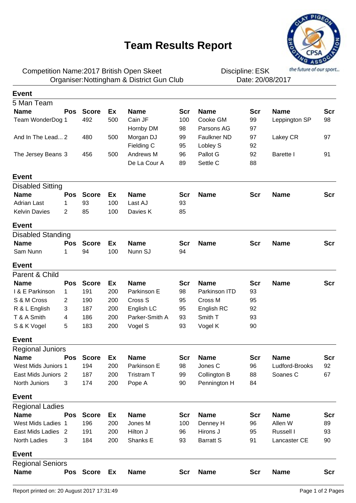## **Team Results Report**



Competition Name:2017 British Open Skeet **EXAL EXAMENT DESA** Discipline: ESK Organiser: Nottingham & District Gun Club **Date: 20/08/2017** 

Discipline: ESK

| <b>Event</b>             |            |              |     |                |            |                  |            |                |            |
|--------------------------|------------|--------------|-----|----------------|------------|------------------|------------|----------------|------------|
| 5 Man Team               |            |              |     |                |            |                  |            |                |            |
| <b>Name</b>              | <b>Pos</b> | <b>Score</b> | Ex  | <b>Name</b>    | <b>Scr</b> | <b>Name</b>      | Scr        | <b>Name</b>    | Scr        |
| Team WonderDog 1         |            | 492          | 500 | Cain JF        | 100        | Cooke GM         | 99         | Leppington SP  | 98         |
|                          |            |              |     | Hornby DM      | 98         | Parsons AG       | 97         |                |            |
| And In The Lead 2        |            | 480          | 500 | Morgan DJ      | 99         | Faulkner ND      | 97         | Lakey CR       | 97         |
|                          |            |              |     | Fielding C     | 95         | Lobley S         | 92         |                |            |
| The Jersey Beans 3       |            | 456          | 500 | Andrews M      | 96         | Pallot G         | 92         | Barette I      | 91         |
|                          |            |              |     | De La Cour A   | 89         | Settle C         | 88         |                |            |
| <b>Event</b>             |            |              |     |                |            |                  |            |                |            |
| <b>Disabled Sitting</b>  |            |              |     |                |            |                  |            |                |            |
| <b>Name</b>              | <b>Pos</b> | <b>Score</b> | Ex  | <b>Name</b>    | <b>Scr</b> | <b>Name</b>      | <b>Scr</b> | <b>Name</b>    | Scr        |
| <b>Adrian Last</b>       | 1          | 93           | 100 | Last AJ        | 93         |                  |            |                |            |
| <b>Kelvin Davies</b>     | 2          | 85           | 100 | Davies K       | 85         |                  |            |                |            |
| <b>Event</b>             |            |              |     |                |            |                  |            |                |            |
| <b>Disabled Standing</b> |            |              |     |                |            |                  |            |                |            |
| <b>Name</b>              | <b>Pos</b> | <b>Score</b> | Ex  | <b>Name</b>    | Scr        | <b>Name</b>      | <b>Scr</b> | <b>Name</b>    | <b>Scr</b> |
| Sam Nunn                 | 1          | 94           | 100 | Nunn SJ        | 94         |                  |            |                |            |
| <b>Event</b>             |            |              |     |                |            |                  |            |                |            |
| Parent & Child           |            |              |     |                |            |                  |            |                |            |
| <b>Name</b>              | Pos        | <b>Score</b> | Ex  | <b>Name</b>    | <b>Scr</b> | <b>Name</b>      | <b>Scr</b> | <b>Name</b>    | <b>Scr</b> |
| I & E Parkinson          | 1          | 191          | 200 | Parkinson E    | 98         | Parkinson ITD    | 93         |                |            |
| S & M Cross              | 2          | 190          | 200 | Cross S        | 95         | Cross M          | 95         |                |            |
| R & L English            | 3          | 187          | 200 | English LC     | 95         | English RC       | 92         |                |            |
| T & A Smith              | 4          | 186          | 200 | Parker-Smith A | 93         | Smith T          | 93         |                |            |
| S & K Vogel              | 5          | 183          | 200 | Vogel S        | 93         | Vogel K          | 90         |                |            |
| <b>Event</b>             |            |              |     |                |            |                  |            |                |            |
| <b>Regional Juniors</b>  |            |              |     |                |            |                  |            |                |            |
| <b>Name</b>              | Pos        | <b>Score</b> | Ex  | <b>Name</b>    | <b>Scr</b> | <b>Name</b>      | <b>Scr</b> | <b>Name</b>    | <b>Scr</b> |
| West Mids Juniors 1      |            | 194          | 200 | Parkinson E    | 98         | Jones C          | 96         | Ludford-Brooks | 92         |
| East Mids Juniors 2      |            | 187          | 200 | Tristram T     | 99         | Collington B     | 88         | Soanes C       | 67         |
| North Juniors            | 3          | 174          | 200 | Pope A         | 90         | Pennington H     | 84         |                |            |
| <b>Event</b>             |            |              |     |                |            |                  |            |                |            |
| <b>Regional Ladies</b>   |            |              |     |                |            |                  |            |                |            |
| <b>Name</b>              | Pos        | <b>Score</b> | Ex  | <b>Name</b>    | <b>Scr</b> | <b>Name</b>      | Scr        | <b>Name</b>    | <b>Scr</b> |
| West Mids Ladies 1       |            | 196          | 200 | Jones M        | 100        | Denney H         | 96         | Allen W        | 89         |
| East Mids Ladies 2       |            | 191          | 200 | Hilton J       | 96         | Hirons J         | 95         | Russell I      | 93         |
| North Ladies             | 3          | 184          | 200 | Shanks E       | 93         | <b>Barratt S</b> | 91         | Lancaster CE   | 90         |
| <b>Event</b>             |            |              |     |                |            |                  |            |                |            |
| <b>Regional Seniors</b>  |            |              |     |                |            |                  |            |                |            |
| <b>Name</b>              |            | Pos Score Ex |     | <b>Name</b>    | <b>Scr</b> | <b>Name</b>      | <b>Scr</b> | <b>Name</b>    | <b>Scr</b> |